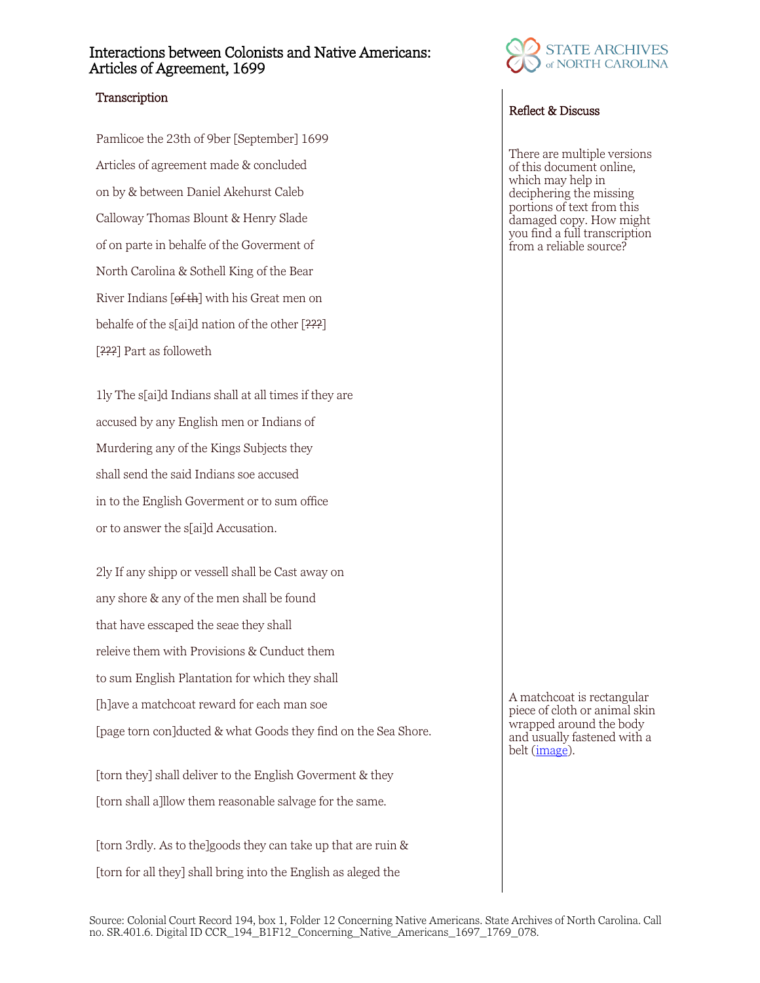## Interactions between Colonists and Native Americans: Articles of Agreement, 1699

## **Transcription**

Pamlicoe the 23th of 9ber [September] 1699 Articles of agreement made & concluded on by & between Daniel Akehurst Caleb Calloway Thomas Blount & Henry Slade of on parte in behalfe of the Goverment of North Carolina & Sothell King of the Bear River Indians  $[*of* th]$  with his Great men on behalfe of the s[ai]d nation of the other  $[222]$ [???] Part as followeth

1ly The s[ai]d Indians shall at all times if they are accused by any English men or Indians of Murdering any of the Kings Subjects they shall send the said Indians soe accused in to the English Goverment or to sum office or to answer the s[ai]d Accusation.

2ly If any shipp or vessell shall be Cast away on any shore & any of the men shall be found that have esscaped the seae they shall releive them with Provisions & Cunduct them to sum English Plantation for which they shall [h]ave a matchcoat reward for each man soe [page torn con]ducted & what Goods they find on the Sea Shore.

[torn they] shall deliver to the English Goverment & they [torn shall a]llow them reasonable salvage for the same.

[torn 3rdly. As to the]goods they can take up that are ruin & [torn for all they] shall bring into the English as aleged the



## Reflect & Discuss

There are multiple versions of this document online, which may help in deciphering the missing portions of text from this damaged copy. How might you find a full transcription from a reliable source?

A matchcoat is rectangular piece of cloth or animal skin wrapped around the body and usually fastened with a belt [\(image\)](https://docsouth.unc.edu/southlit/beverley/plate-book3-4-1.jpg).